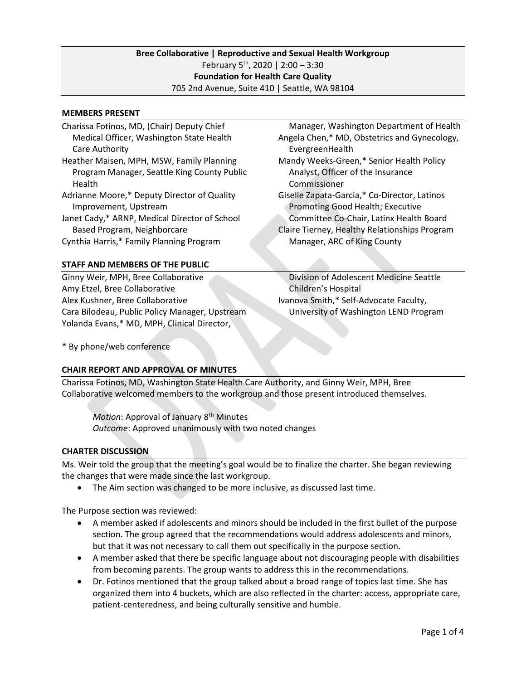# **Bree Collaborative | Reproductive and Sexual Health Workgroup** February  $5^{th}$ , 2020 | 2:00 - 3:30 **Foundation for Health Care Quality** 705 2nd Avenue, Suite 410 | Seattle, WA 98104

#### **MEMBERS PRESENT**

| Charissa Fotinos, MD, (Chair) Deputy Chief                                   | Manager, Washington Department of Health                                                 |
|------------------------------------------------------------------------------|------------------------------------------------------------------------------------------|
| Medical Officer, Washington State Health                                     | Angela Chen,* MD, Obstetrics and Gynecology,                                             |
| Care Authority                                                               | EvergreenHealth                                                                          |
| Heather Maisen, MPH, MSW, Family Planning                                    | Mandy Weeks-Green,* Senior Health Policy                                                 |
| Program Manager, Seattle King County Public<br>Health                        | Analyst, Officer of the Insurance<br>Commissioner                                        |
| Adrianne Moore,* Deputy Director of Quality<br>Improvement, Upstream         | Giselle Zapata-Garcia,* Co-Director, Latinos<br>Promoting Good Health; Executive         |
| Janet Cady,* ARNP, Medical Director of School<br>Based Program, Neighborcare | Committee Co-Chair, Latinx Health Board<br>Claire Tierney, Healthy Relationships Program |
| Cynthia Harris,* Family Planning Program                                     | Manager, ARC of King County                                                              |
| STAFF AND MEMBERS OF THE PUBLIC                                              |                                                                                          |
|                                                                              |                                                                                          |

Ginny Weir, MPH, Bree Collaborative Amy Etzel, Bree Collaborative Alex Kushner, Bree Collaborative Cara Bilodeau, Public Policy Manager, Upstream Yolanda Evans,\* MD, MPH, Clinical Director,

 Division of Adolescent Medicine Seattle Children's Hospital Ivanova Smith,\* Self-Advocate Faculty, University of Washington LEND Program

\* By phone/web conference

## **CHAIR REPORT AND APPROVAL OF MINUTES**

Charissa Fotinos, MD, Washington State Health Care Authority, and Ginny Weir, MPH, Bree Collaborative welcomed members to the workgroup and those present introduced themselves.

*Motion*: Approval of January 8<sup>th</sup> Minutes *Outcome*: Approved unanimously with two noted changes

## **CHARTER DISCUSSION**

Ms. Weir told the group that the meeting's goal would be to finalize the charter. She began reviewing the changes that were made since the last workgroup.

• The Aim section was changed to be more inclusive, as discussed last time.

The Purpose section was reviewed:

- A member asked if adolescents and minors should be included in the first bullet of the purpose section. The group agreed that the recommendations would address adolescents and minors, but that it was not necessary to call them out specifically in the purpose section.
- A member asked that there be specific language about not discouraging people with disabilities from becoming parents. The group wants to address this in the recommendations.
- Dr. Fotinos mentioned that the group talked about a broad range of topics last time. She has organized them into 4 buckets, which are also reflected in the charter: access, appropriate care, patient-centeredness, and being culturally sensitive and humble.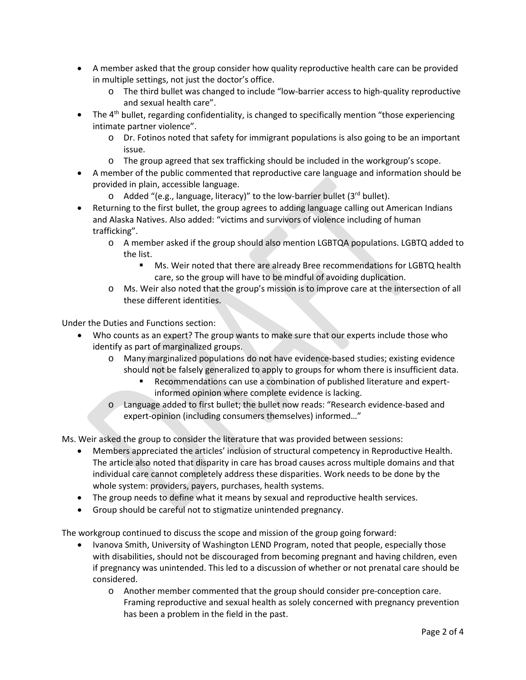- A member asked that the group consider how quality reproductive health care can be provided in multiple settings, not just the doctor's office.
	- o The third bullet was changed to include "low-barrier access to high-quality reproductive and sexual health care".
- The  $4<sup>th</sup>$  bullet, regarding confidentiality, is changed to specifically mention "those experiencing" intimate partner violence".
	- o Dr. Fotinos noted that safety for immigrant populations is also going to be an important issue.
	- o The group agreed that sex trafficking should be included in the workgroup's scope.
- A member of the public commented that reproductive care language and information should be provided in plain, accessible language.
	- $\circ$  Added "(e.g., language, literacy)" to the low-barrier bullet (3rd bullet).
- Returning to the first bullet, the group agrees to adding language calling out American Indians and Alaska Natives. Also added: "victims and survivors of violence including of human trafficking".
	- o A member asked if the group should also mention LGBTQA populations. LGBTQ added to the list.
		- Ms. Weir noted that there are already Bree recommendations for LGBTQ health care, so the group will have to be mindful of avoiding duplication.
	- o Ms. Weir also noted that the group's mission is to improve care at the intersection of all these different identities.

Under the Duties and Functions section:

- Who counts as an expert? The group wants to make sure that our experts include those who identify as part of marginalized groups.
	- o Many marginalized populations do not have evidence-based studies; existing evidence should not be falsely generalized to apply to groups for whom there is insufficient data.
		- Recommendations can use a combination of published literature and expertinformed opinion where complete evidence is lacking.
	- o Language added to first bullet; the bullet now reads: "Research evidence-based and expert-opinion (including consumers themselves) informed…"

Ms. Weir asked the group to consider the literature that was provided between sessions:

- Members appreciated the articles' inclusion of structural competency in Reproductive Health. The article also noted that disparity in care has broad causes across multiple domains and that individual care cannot completely address these disparities. Work needs to be done by the whole system: providers, payers, purchases, health systems.
- The group needs to define what it means by sexual and reproductive health services.
- Group should be careful not to stigmatize unintended pregnancy.

The workgroup continued to discuss the scope and mission of the group going forward:

- Ivanova Smith, University of Washington LEND Program, noted that people, especially those with disabilities, should not be discouraged from becoming pregnant and having children, even if pregnancy was unintended. This led to a discussion of whether or not prenatal care should be considered.
	- o Another member commented that the group should consider pre-conception care. Framing reproductive and sexual health as solely concerned with pregnancy prevention has been a problem in the field in the past.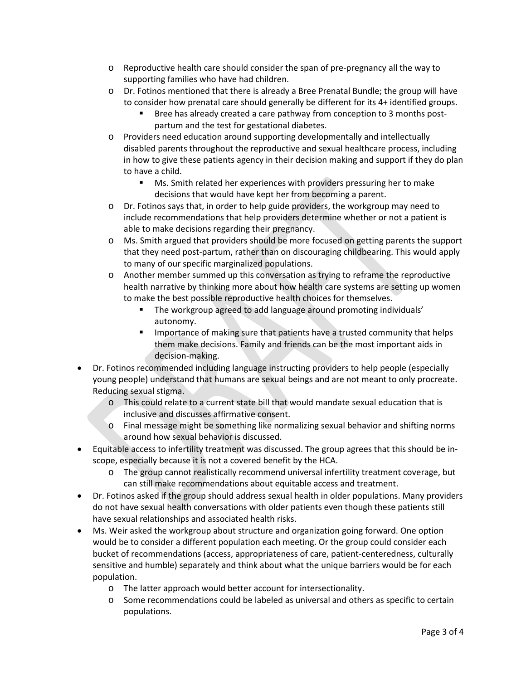- o Reproductive health care should consider the span of pre-pregnancy all the way to supporting families who have had children.
- o Dr. Fotinos mentioned that there is already a Bree Prenatal Bundle; the group will have to consider how prenatal care should generally be different for its 4+ identified groups.
	- Bree has already created a care pathway from conception to 3 months postpartum and the test for gestational diabetes.
- o Providers need education around supporting developmentally and intellectually disabled parents throughout the reproductive and sexual healthcare process, including in how to give these patients agency in their decision making and support if they do plan to have a child.
	- Ms. Smith related her experiences with providers pressuring her to make decisions that would have kept her from becoming a parent.
- o Dr. Fotinos says that, in order to help guide providers, the workgroup may need to include recommendations that help providers determine whether or not a patient is able to make decisions regarding their pregnancy.
- o Ms. Smith argued that providers should be more focused on getting parents the support that they need post-partum, rather than on discouraging childbearing. This would apply to many of our specific marginalized populations.
- o Another member summed up this conversation as trying to reframe the reproductive health narrative by thinking more about how health care systems are setting up women to make the best possible reproductive health choices for themselves.
	- The workgroup agreed to add language around promoting individuals' autonomy.
	- Importance of making sure that patients have a trusted community that helps them make decisions. Family and friends can be the most important aids in decision-making.
- Dr. Fotinos recommended including language instructing providers to help people (especially young people) understand that humans are sexual beings and are not meant to only procreate. Reducing sexual stigma.
	- o This could relate to a current state bill that would mandate sexual education that is inclusive and discusses affirmative consent.
	- o Final message might be something like normalizing sexual behavior and shifting norms around how sexual behavior is discussed.
- Equitable access to infertility treatment was discussed. The group agrees that this should be inscope, especially because it is not a covered benefit by the HCA.
	- o The group cannot realistically recommend universal infertility treatment coverage, but can still make recommendations about equitable access and treatment.
- Dr. Fotinos asked if the group should address sexual health in older populations. Many providers do not have sexual health conversations with older patients even though these patients still have sexual relationships and associated health risks.
- Ms. Weir asked the workgroup about structure and organization going forward. One option would be to consider a different population each meeting. Or the group could consider each bucket of recommendations (access, appropriateness of care, patient-centeredness, culturally sensitive and humble) separately and think about what the unique barriers would be for each population.
	- o The latter approach would better account for intersectionality.
	- o Some recommendations could be labeled as universal and others as specific to certain populations.